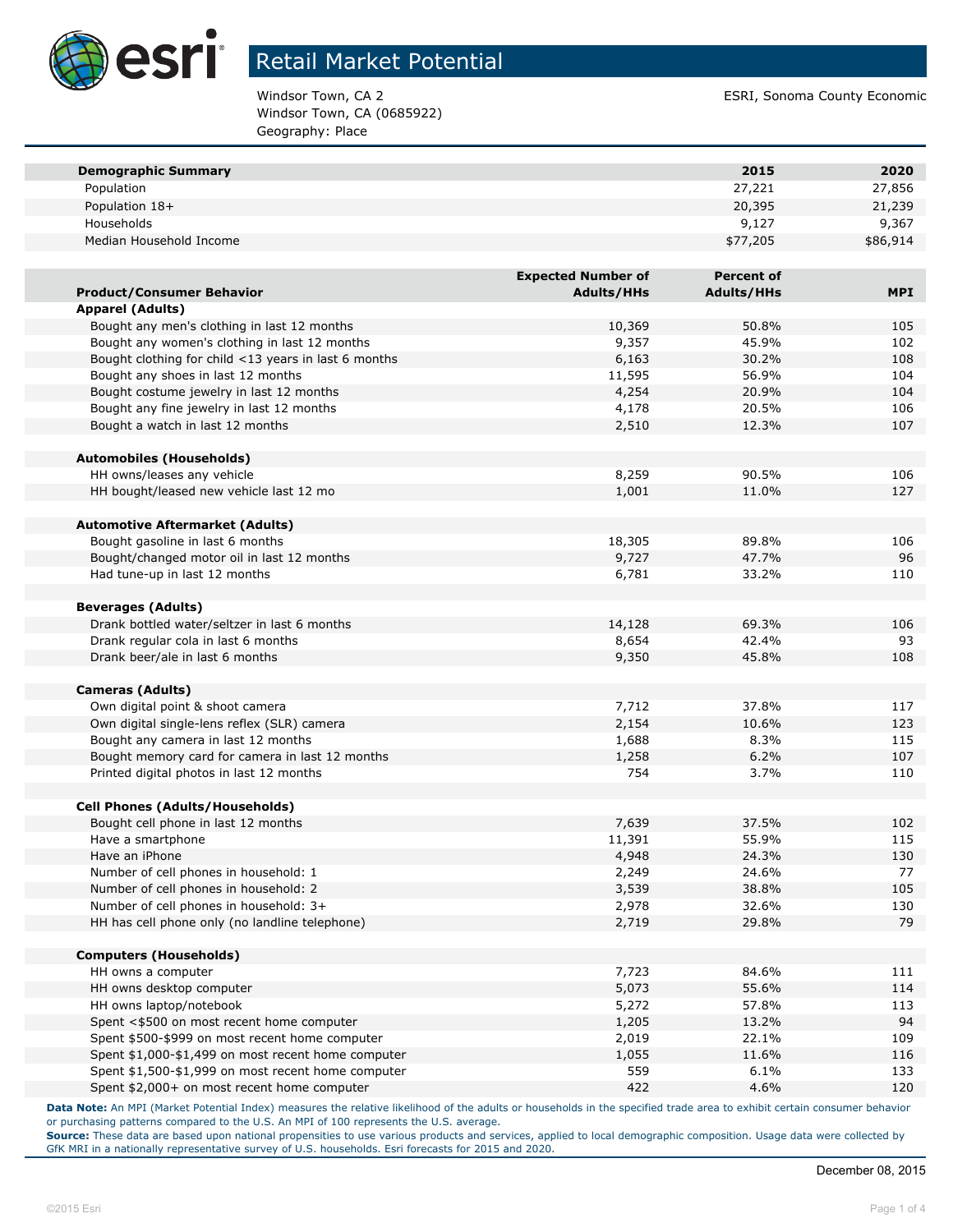

Windsor Town, CA (0685922) Geography: Place

Windsor Town, CA 2 ESRI, Sonoma County Economic

| <b>Demographic Summary</b>                                                      |                           | 2015              | 2020       |
|---------------------------------------------------------------------------------|---------------------------|-------------------|------------|
| Population                                                                      |                           | 27,221            | 27,856     |
| Population 18+                                                                  |                           | 20,395            | 21,239     |
| Households                                                                      |                           | 9,127             | 9,367      |
| Median Household Income                                                         |                           | \$77,205          | \$86,914   |
|                                                                                 |                           |                   |            |
|                                                                                 | <b>Expected Number of</b> | <b>Percent of</b> |            |
| <b>Product/Consumer Behavior</b>                                                | <b>Adults/HHs</b>         | <b>Adults/HHs</b> | <b>MPI</b> |
| <b>Apparel (Adults)</b>                                                         |                           |                   |            |
| Bought any men's clothing in last 12 months                                     | 10,369                    | 50.8%             | 105        |
| Bought any women's clothing in last 12 months                                   | 9,357                     | 45.9%             | 102        |
| Bought clothing for child <13 years in last 6 months                            | 6,163                     | 30.2%             | 108        |
| Bought any shoes in last 12 months                                              | 11,595                    | 56.9%             | 104        |
| Bought costume jewelry in last 12 months                                        | 4,254                     | 20.9%             | 104        |
| Bought any fine jewelry in last 12 months                                       | 4,178                     | 20.5%             | 106        |
| Bought a watch in last 12 months                                                | 2,510                     | 12.3%             | 107        |
| <b>Automobiles (Households)</b>                                                 |                           |                   |            |
| HH owns/leases any vehicle                                                      | 8,259                     | 90.5%             | 106        |
| HH bought/leased new vehicle last 12 mo                                         | 1,001                     | 11.0%             | 127        |
|                                                                                 |                           |                   |            |
| <b>Automotive Aftermarket (Adults)</b>                                          |                           |                   |            |
| Bought gasoline in last 6 months                                                | 18,305                    | 89.8%             | 106        |
| Bought/changed motor oil in last 12 months                                      | 9,727                     | 47.7%             | 96         |
| Had tune-up in last 12 months                                                   | 6,781                     | 33.2%             | 110        |
| <b>Beverages (Adults)</b>                                                       |                           |                   |            |
| Drank bottled water/seltzer in last 6 months                                    | 14,128                    | 69.3%             | 106        |
| Drank regular cola in last 6 months                                             | 8,654                     | 42.4%             | 93         |
| Drank beer/ale in last 6 months                                                 | 9,350                     | 45.8%             | 108        |
|                                                                                 |                           |                   |            |
| <b>Cameras (Adults)</b>                                                         |                           |                   |            |
| Own digital point & shoot camera<br>Own digital single-lens reflex (SLR) camera | 7,712<br>2,154            | 37.8%<br>10.6%    | 117<br>123 |
| Bought any camera in last 12 months                                             | 1,688                     | 8.3%              | 115        |
| Bought memory card for camera in last 12 months                                 | 1,258                     | 6.2%              | 107        |
| Printed digital photos in last 12 months                                        | 754                       | 3.7%              | 110        |
|                                                                                 |                           |                   |            |
| <b>Cell Phones (Adults/Households)</b>                                          |                           |                   |            |
| Bought cell phone in last 12 months                                             | 7,639                     | 37.5%             | 102        |
| Have a smartphone                                                               | 11,391                    | 55.9%             | 115        |
| Have an iPhone                                                                  | 4,948                     | 24.3%             | 130        |
| Number of cell phones in household: 1                                           | 2,249                     | 24.6%             | 77         |
| Number of cell phones in household: 2                                           | 3,539                     | 38.8%             | 105        |
| Number of cell phones in household: 3+                                          | 2,978                     | 32.6%             | 130        |
| HH has cell phone only (no landline telephone)                                  | 2,719                     | 29.8%             | 79         |
| <b>Computers (Households)</b>                                                   |                           |                   |            |
| HH owns a computer                                                              | 7,723                     | 84.6%             | 111        |
| HH owns desktop computer                                                        | 5,073                     | 55.6%             | 114        |
| HH owns laptop/notebook                                                         | 5,272                     | 57.8%             | 113        |
| Spent <\$500 on most recent home computer                                       | 1,205                     | 13.2%             | 94         |
| Spent \$500-\$999 on most recent home computer                                  | 2,019                     | 22.1%             | 109        |
| Spent \$1,000-\$1,499 on most recent home computer                              | 1,055                     | 11.6%             | 116        |
| Spent \$1,500-\$1,999 on most recent home computer                              | 559                       | 6.1%              | 133        |
| Spent \$2,000+ on most recent home computer                                     | 422                       | 4.6%              | 120        |

**Data Note:** An MPI (Market Potential Index) measures the relative likelihood of the adults or households in the specified trade area to exhibit certain consumer behavior or purchasing patterns compared to the U.S. An MPI of 100 represents the U.S. average.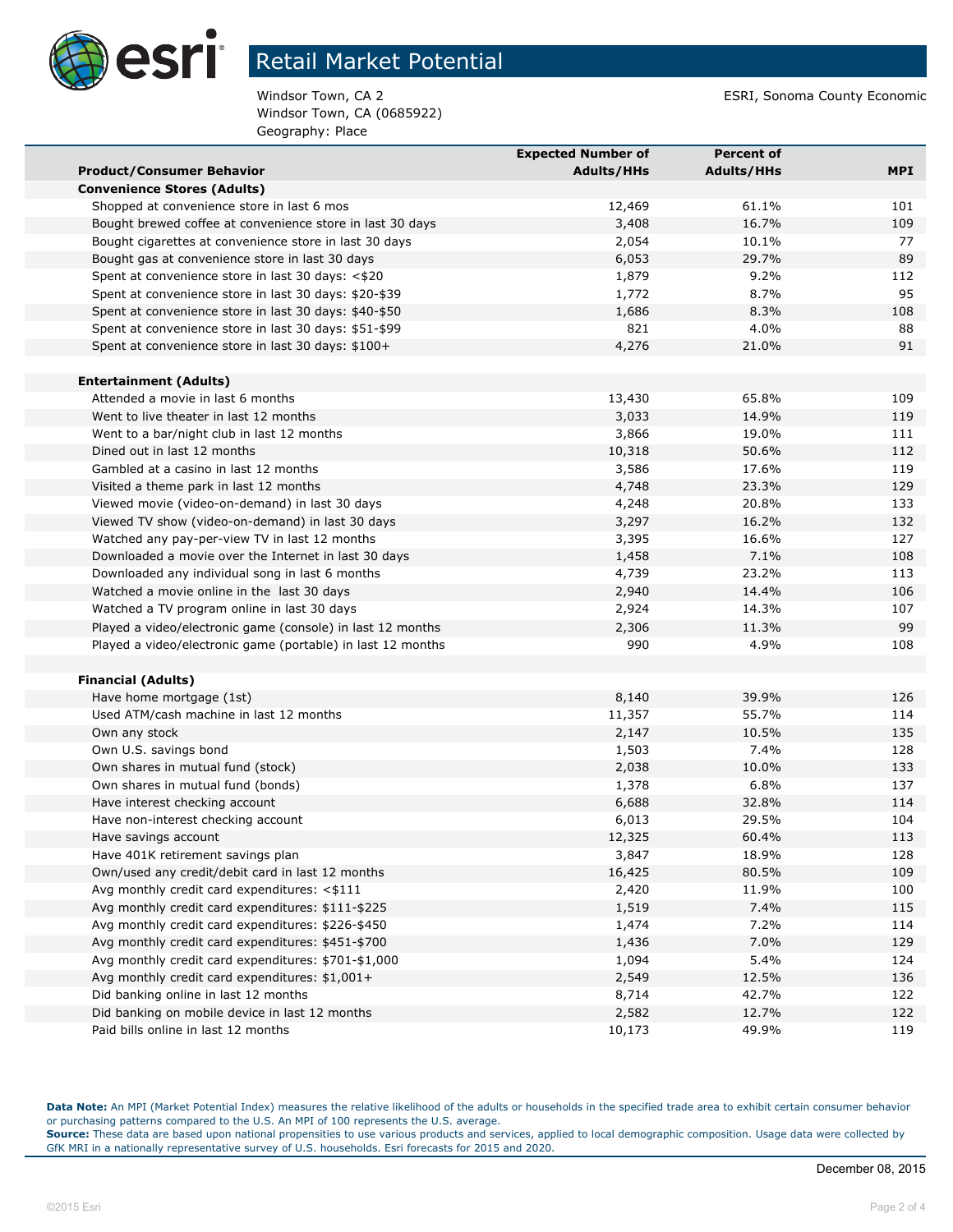

Windsor Town, CA (0685922) Geography: Place

Windsor Town, CA 2 ESRI, Sonoma County Economic

|                                                             | <b>Expected Number of</b> | <b>Percent of</b> |            |
|-------------------------------------------------------------|---------------------------|-------------------|------------|
| <b>Product/Consumer Behavior</b>                            | <b>Adults/HHs</b>         | <b>Adults/HHs</b> | <b>MPI</b> |
| <b>Convenience Stores (Adults)</b>                          |                           |                   |            |
| Shopped at convenience store in last 6 mos                  | 12,469                    | 61.1%             | 101        |
| Bought brewed coffee at convenience store in last 30 days   | 3,408                     | 16.7%             | 109        |
| Bought cigarettes at convenience store in last 30 days      | 2,054                     | 10.1%             | 77         |
| Bought gas at convenience store in last 30 days             | 6,053                     | 29.7%             | 89         |
| Spent at convenience store in last 30 days: <\$20           | 1,879                     | 9.2%              | 112        |
| Spent at convenience store in last 30 days: \$20-\$39       | 1,772                     | 8.7%              | 95         |
| Spent at convenience store in last 30 days: \$40-\$50       | 1,686                     | 8.3%              | 108        |
| Spent at convenience store in last 30 days: \$51-\$99       | 821                       | 4.0%              | 88         |
| Spent at convenience store in last 30 days: \$100+          | 4,276                     | 21.0%             | 91         |
| <b>Entertainment (Adults)</b>                               |                           |                   |            |
| Attended a movie in last 6 months                           | 13,430                    | 65.8%             | 109        |
| Went to live theater in last 12 months                      | 3,033                     | 14.9%             | 119        |
| Went to a bar/night club in last 12 months                  | 3,866                     | 19.0%             | 111        |
| Dined out in last 12 months                                 | 10,318                    | 50.6%             | 112        |
| Gambled at a casino in last 12 months                       | 3,586                     | 17.6%             | 119        |
| Visited a theme park in last 12 months                      | 4,748                     | 23.3%             | 129        |
| Viewed movie (video-on-demand) in last 30 days              | 4,248                     | 20.8%             | 133        |
| Viewed TV show (video-on-demand) in last 30 days            | 3,297                     | 16.2%             | 132        |
| Watched any pay-per-view TV in last 12 months               | 3,395                     | 16.6%             | 127        |
| Downloaded a movie over the Internet in last 30 days        | 1,458                     | 7.1%              | 108        |
| Downloaded any individual song in last 6 months             | 4,739                     | 23.2%             | 113        |
| Watched a movie online in the last 30 days                  | 2,940                     | 14.4%             | 106        |
| Watched a TV program online in last 30 days                 | 2,924                     | 14.3%             | 107        |
| Played a video/electronic game (console) in last 12 months  | 2,306                     | 11.3%             | 99         |
| Played a video/electronic game (portable) in last 12 months | 990                       | 4.9%              | 108        |
|                                                             |                           |                   |            |
| <b>Financial (Adults)</b>                                   |                           |                   |            |
| Have home mortgage (1st)                                    | 8,140                     | 39.9%             | 126        |
| Used ATM/cash machine in last 12 months                     | 11,357                    | 55.7%             | 114        |
| Own any stock                                               | 2,147                     | 10.5%             | 135        |
| Own U.S. savings bond                                       | 1,503                     | 7.4%              | 128        |
| Own shares in mutual fund (stock)                           | 2,038                     | 10.0%             | 133        |
| Own shares in mutual fund (bonds)                           | 1,378                     | 6.8%              | 137        |
| Have interest checking account                              | 6,688                     | 32.8%             | 114        |
| Have non-interest checking account                          | 6,013                     | 29.5%             | 104        |
| Have savings account                                        | 12,325                    | 60.4%             | 113        |
| Have 401K retirement savings plan                           | 3,847                     | 18.9%             | 128        |
| Own/used any credit/debit card in last 12 months            | 16,425                    | 80.5%             | 109        |
| Avg monthly credit card expenditures: <\$111                | 2,420                     | 11.9%             | 100        |
| Avg monthly credit card expenditures: \$111-\$225           | 1,519                     | 7.4%              | 115        |
| Avg monthly credit card expenditures: \$226-\$450           | 1,474                     | 7.2%              | 114        |
| Avg monthly credit card expenditures: \$451-\$700           | 1,436                     | 7.0%              | 129        |
| Avg monthly credit card expenditures: \$701-\$1,000         | 1,094                     | 5.4%              | 124        |
| Avg monthly credit card expenditures: \$1,001+              | 2,549                     | 12.5%             | 136        |
| Did banking online in last 12 months                        | 8,714                     | 42.7%             | 122        |
| Did banking on mobile device in last 12 months              | 2,582                     | 12.7%             | 122        |
| Paid bills online in last 12 months                         | 10,173                    | 49.9%             | 119        |

**Data Note:** An MPI (Market Potential Index) measures the relative likelihood of the adults or households in the specified trade area to exhibit certain consumer behavior or purchasing patterns compared to the U.S. An MPI of 100 represents the U.S. average.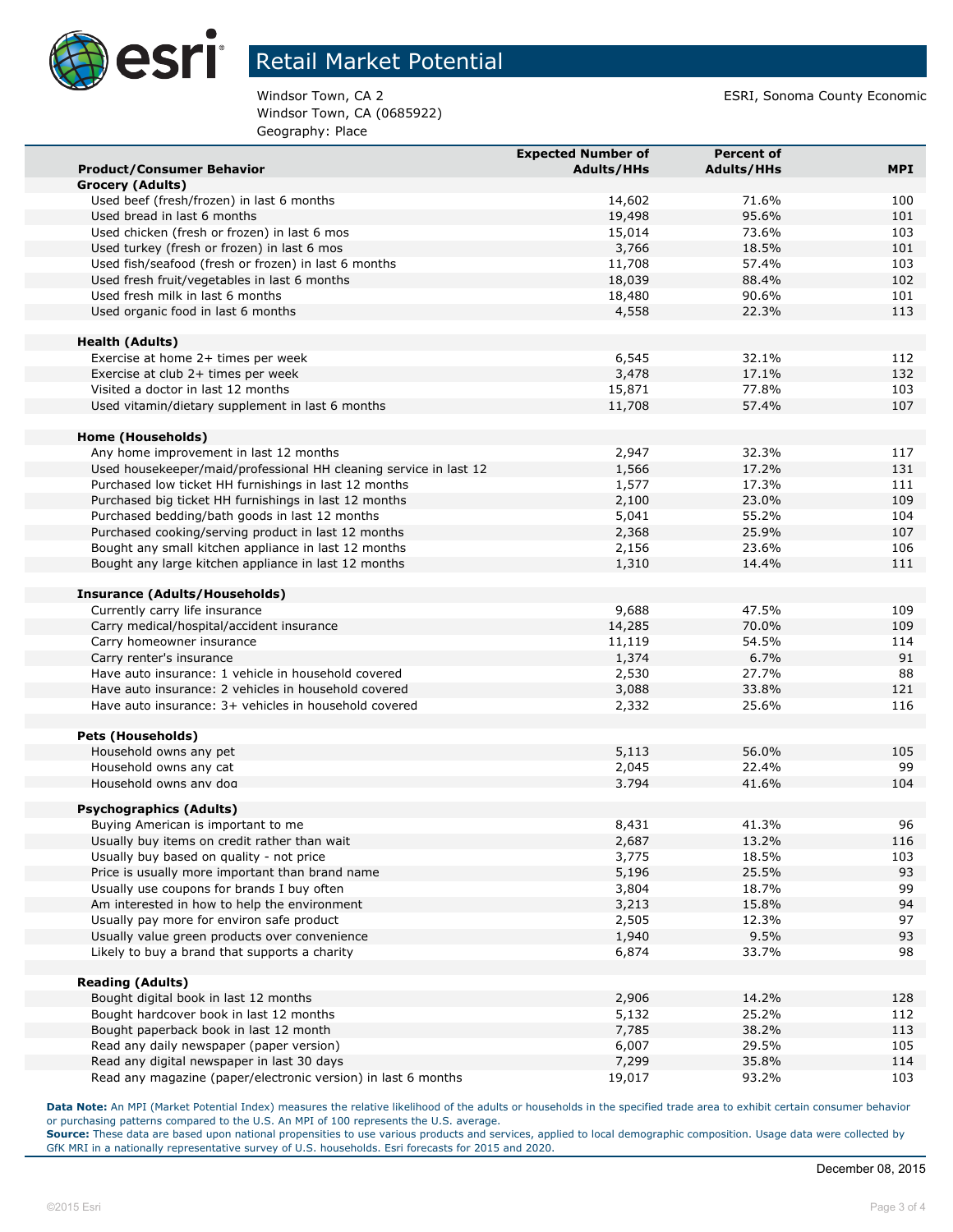

Windsor Town, CA (0685922) Geography: Place

Windsor Town, CA 2 ESRI, Sonoma County Economic

|                                                                                                                            | <b>Expected Number of</b> | <b>Percent of</b> |            |
|----------------------------------------------------------------------------------------------------------------------------|---------------------------|-------------------|------------|
| <b>Product/Consumer Behavior</b>                                                                                           | <b>Adults/HHs</b>         | <b>Adults/HHs</b> | <b>MPI</b> |
| Grocery (Adults)                                                                                                           |                           |                   |            |
| Used beef (fresh/frozen) in last 6 months                                                                                  | 14,602                    | 71.6%             | 100        |
| Used bread in last 6 months                                                                                                | 19,498                    | 95.6%             | 101        |
| Used chicken (fresh or frozen) in last 6 mos                                                                               | 15,014                    | 73.6%             | 103        |
| Used turkey (fresh or frozen) in last 6 mos                                                                                | 3,766                     | 18.5%             | 101        |
| Used fish/seafood (fresh or frozen) in last 6 months                                                                       | 11,708                    | 57.4%             | 103        |
| Used fresh fruit/vegetables in last 6 months                                                                               | 18,039                    | 88.4%             | 102        |
| Used fresh milk in last 6 months                                                                                           | 18,480                    | 90.6%             | 101        |
| Used organic food in last 6 months                                                                                         | 4,558                     | 22.3%             | 113        |
|                                                                                                                            |                           |                   |            |
| <b>Health (Adults)</b>                                                                                                     |                           |                   |            |
| Exercise at home 2+ times per week                                                                                         | 6,545                     | 32.1%             | 112        |
| Exercise at club 2+ times per week                                                                                         | 3,478                     | 17.1%             | 132        |
| Visited a doctor in last 12 months                                                                                         | 15,871                    | 77.8%             | 103        |
| Used vitamin/dietary supplement in last 6 months                                                                           | 11,708                    | 57.4%             | 107        |
|                                                                                                                            |                           |                   |            |
| Home (Households)<br>Any home improvement in last 12 months                                                                | 2,947                     | 32.3%             | 117        |
|                                                                                                                            | 1,566                     | 17.2%             | 131        |
| Used housekeeper/maid/professional HH cleaning service in last 12<br>Purchased low ticket HH furnishings in last 12 months | 1,577                     | 17.3%             | 111        |
|                                                                                                                            | 2,100                     | 23.0%             | 109        |
| Purchased big ticket HH furnishings in last 12 months                                                                      |                           |                   |            |
| Purchased bedding/bath goods in last 12 months<br>Purchased cooking/serving product in last 12 months                      | 5,041                     | 55.2%<br>25.9%    | 104<br>107 |
| Bought any small kitchen appliance in last 12 months                                                                       | 2,368                     | 23.6%             | 106        |
| Bought any large kitchen appliance in last 12 months                                                                       | 2,156<br>1,310            | 14.4%             | 111        |
|                                                                                                                            |                           |                   |            |
| Insurance (Adults/Households)                                                                                              |                           |                   |            |
| Currently carry life insurance                                                                                             | 9,688                     | 47.5%             | 109        |
| Carry medical/hospital/accident insurance                                                                                  | 14,285                    | 70.0%             | 109        |
| Carry homeowner insurance                                                                                                  | 11,119                    | 54.5%             | 114        |
| Carry renter's insurance                                                                                                   | 1,374                     | 6.7%              | 91         |
| Have auto insurance: 1 vehicle in household covered                                                                        | 2,530                     | 27.7%             | 88         |
| Have auto insurance: 2 vehicles in household covered                                                                       | 3,088                     | 33.8%             | 121        |
| Have auto insurance: 3+ vehicles in household covered                                                                      | 2,332                     | 25.6%             | 116        |
|                                                                                                                            |                           |                   |            |
| <b>Pets (Households)</b>                                                                                                   |                           |                   |            |
| Household owns any pet                                                                                                     | 5,113                     | 56.0%             | 105        |
| Household owns any cat                                                                                                     | 2,045                     | 22.4%             | 99         |
| Household owns any dog                                                                                                     | 3.794                     | 41.6%             | 104        |
| <b>Psychographics (Adults)</b>                                                                                             |                           |                   |            |
| Buying American is important to me                                                                                         | 8,431                     | 41.3%             | 96         |
| Usually buy items on credit rather than wait                                                                               | 2,687                     | 13.2%             | 116        |
| Usually buy based on quality - not price                                                                                   | 3,775                     | 18.5%             | 103        |
| Price is usually more important than brand name                                                                            | 5,196                     | 25.5%             | 93         |
| Usually use coupons for brands I buy often                                                                                 | 3,804                     | 18.7%             | 99         |
| Am interested in how to help the environment                                                                               | 3,213                     | 15.8%             | 94         |
| Usually pay more for environ safe product                                                                                  | 2,505                     | 12.3%             | 97         |
| Usually value green products over convenience                                                                              | 1,940                     | 9.5%              | 93         |
| Likely to buy a brand that supports a charity                                                                              | 6,874                     | 33.7%             | 98         |
|                                                                                                                            |                           |                   |            |
| <b>Reading (Adults)</b>                                                                                                    |                           |                   |            |
| Bought digital book in last 12 months                                                                                      | 2,906                     | 14.2%             | 128        |
| Bought hardcover book in last 12 months                                                                                    | 5,132                     | 25.2%             | 112        |
| Bought paperback book in last 12 month                                                                                     | 7,785                     | 38.2%             | 113        |
| Read any daily newspaper (paper version)                                                                                   | 6,007                     | 29.5%             | 105        |
| Read any digital newspaper in last 30 days                                                                                 | 7,299                     | 35.8%             | 114        |
| Read any magazine (paper/electronic version) in last 6 months                                                              | 19,017                    | 93.2%             | 103        |

**Data Note:** An MPI (Market Potential Index) measures the relative likelihood of the adults or households in the specified trade area to exhibit certain consumer behavior or purchasing patterns compared to the U.S. An MPI of 100 represents the U.S. average.